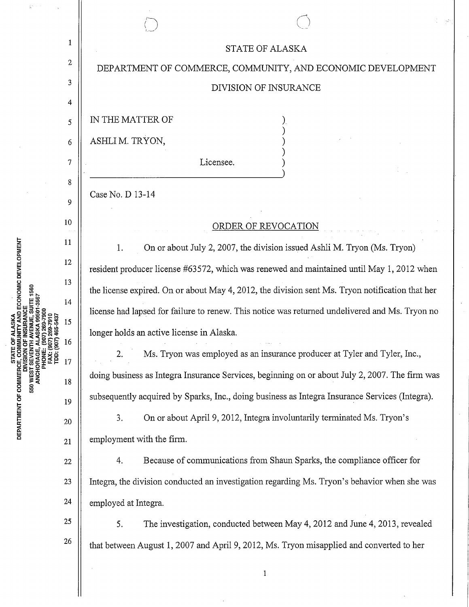|                                                                                    | $\mathbf{1}$ | <b>STATE OF ALASKA</b>                                                                          |
|------------------------------------------------------------------------------------|--------------|-------------------------------------------------------------------------------------------------|
| (907) 269-7900<br>007) 269-7910<br>007) 465-5437<br>PHONE:<br>FAX: (90<br>TDD: (90 | 2            | DEPARTMENT OF COMMERCE, COMMUNITY, AND ECONOMIC DEVELOPMENT                                     |
|                                                                                    | 3            | DIVISION OF INSURANCE                                                                           |
|                                                                                    | 4            |                                                                                                 |
|                                                                                    | 5            | IN THE MATTER OF                                                                                |
|                                                                                    | 6            | ASHLIM. TRYON,                                                                                  |
|                                                                                    | $\tau$       | Licensee.                                                                                       |
|                                                                                    | 8            |                                                                                                 |
|                                                                                    | 9            | Case No. D 13-14                                                                                |
|                                                                                    | 10           | ORDER OF REVOCATION                                                                             |
|                                                                                    | 11           | On or about July 2, 2007, the division issued Ashli M. Tryon (Ms. Tryon)<br>1.                  |
|                                                                                    | 12           | resident producer license #63572, which was renewed and maintained until May 1, 2012 when       |
|                                                                                    | 13           | the license expired. On or about May 4, 2012, the division sent Ms. Tryon notification that her |
|                                                                                    | 14           | license had lapsed for failure to renew. This notice was returned undelivered and Ms. Tryon no  |
|                                                                                    | 15           | longer holds an active license in Alaska.                                                       |
|                                                                                    | 16<br>17     | Ms. Tryon was employed as an insurance producer at Tyler and Tyler, Inc.,<br>2.                 |
|                                                                                    | 18           | doing business as Integra Insurance Services, beginning on or about July 2, 2007. The firm was  |
|                                                                                    | 19           | subsequently acquired by Sparks, Inc., doing business as Integra Insurance Services (Integra).  |
|                                                                                    | 20           | On or about April 9, 2012, Integra involuntarily terminated Ms. Tryon's<br>3.                   |
|                                                                                    | 21           | employment with the firm.                                                                       |
|                                                                                    | 22           | Because of communications from Shaun Sparks, the compliance officer for<br>4.                   |
|                                                                                    | 23           | Integra, the division conducted an investigation regarding Ms. Tryon's behavior when she was    |
|                                                                                    | 24           | employed at Integra.                                                                            |
|                                                                                    | 25           | The investigation, conducted between May 4, 2012 and June 4, 2013, revealed<br>5.               |
|                                                                                    | 26           | that between August 1, 2007 and April 9, 2012, Ms. Tryon misapplied and converted to her        |
|                                                                                    |              | 1                                                                                               |
|                                                                                    |              |                                                                                                 |

 $\ddot{\cdot}$ 

 $\hat{\boldsymbol{\beta}}$ 

 $\ddot{\phantom{0}}$ 

 $\bar{z}$ 

 $\ddot{\cdot}$ 

**STATE OF ALASKA<br>DEPARTMENT OF COMMERCE, COMMUNITY AND ECONOMIC DEVELOPMENT<br>DIVISION OF INSURANCE<br>550 WEST SEVENTH AVENUE, SUITE 1560<br>ANCHORAGE, ALASKA 99501-3567** 

 $\hat{w}$ 

 $\hat{\mathcal{A}}$ 

 $\bar{\beta}$